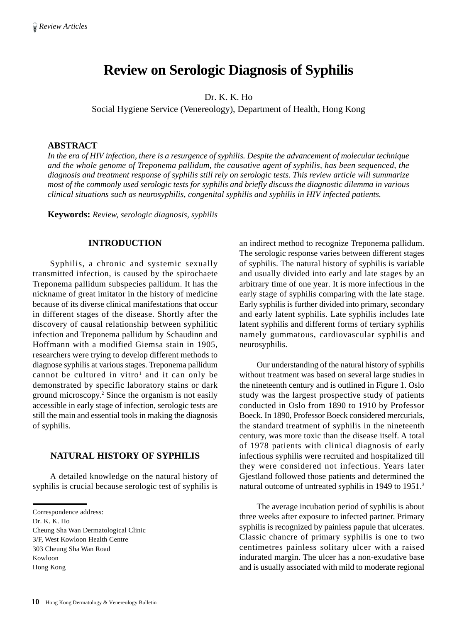# **Review on Serologic Diagnosis of Syphilis**

Dr. K. K. Ho

Social Hygiene Service (Venereology), Department of Health, Hong Kong

## **ABSTRACT**

*In the era of HIV infection, there is a resurgence of syphilis. Despite the advancement of molecular technique and the whole genome of Treponema pallidum, the causative agent of syphilis, has been sequenced, the diagnosis and treatment response of syphilis still rely on serologic tests. This review article will summarize most of the commonly used serologic tests for syphilis and briefly discuss the diagnostic dilemma in various clinical situations such as neurosyphilis, congenital syphilis and syphilis in HIV infected patients.*

**Keywords:** *Review, serologic diagnosis, syphilis*

## **INTRODUCTION**

Syphilis, a chronic and systemic sexually transmitted infection, is caused by the spirochaete Treponema pallidum subspecies pallidum. It has the nickname of great imitator in the history of medicine because of its diverse clinical manifestations that occur in different stages of the disease. Shortly after the discovery of causal relationship between syphilitic infection and Treponema pallidum by Schaudinn and Hoffmann with a modified Giemsa stain in 1905, researchers were trying to develop different methods to diagnose syphilis at various stages. Treponema pallidum cannot be cultured in vitro<sup>1</sup> and it can only be demonstrated by specific laboratory stains or dark ground microscopy.2 Since the organism is not easily accessible in early stage of infection, serologic tests are still the main and essential tools in making the diagnosis of syphilis.

## **NATURAL HISTORY OF SYPHILIS**

A detailed knowledge on the natural history of syphilis is crucial because serologic test of syphilis is

Correspondence address:

Dr. K. K. Ho Cheung Sha Wan Dermatological Clinic 3/F, West Kowloon Health Centre 303 Cheung Sha Wan Road Kowloon Hong Kong

an indirect method to recognize Treponema pallidum. The serologic response varies between different stages of syphilis. The natural history of syphilis is variable and usually divided into early and late stages by an arbitrary time of one year. It is more infectious in the early stage of syphilis comparing with the late stage. Early syphilis is further divided into primary, secondary and early latent syphilis. Late syphilis includes late latent syphilis and different forms of tertiary syphilis namely gummatous, cardiovascular syphilis and neurosyphilis.

Our understanding of the natural history of syphilis without treatment was based on several large studies in the nineteenth century and is outlined in Figure 1. Oslo study was the largest prospective study of patients conducted in Oslo from 1890 to 1910 by Professor Boeck. In 1890, Professor Boeck considered mercurials, the standard treatment of syphilis in the nineteenth century, was more toxic than the disease itself. A total of 1978 patients with clinical diagnosis of early infectious syphilis were recruited and hospitalized till they were considered not infectious. Years later Gjestland followed those patients and determined the natural outcome of untreated syphilis in 1949 to 1951.<sup>3</sup>

The average incubation period of syphilis is about three weeks after exposure to infected partner. Primary syphilis is recognized by painless papule that ulcerates. Classic chancre of primary syphilis is one to two centimetres painless solitary ulcer with a raised indurated margin. The ulcer has a non-exudative base and is usually associated with mild to moderate regional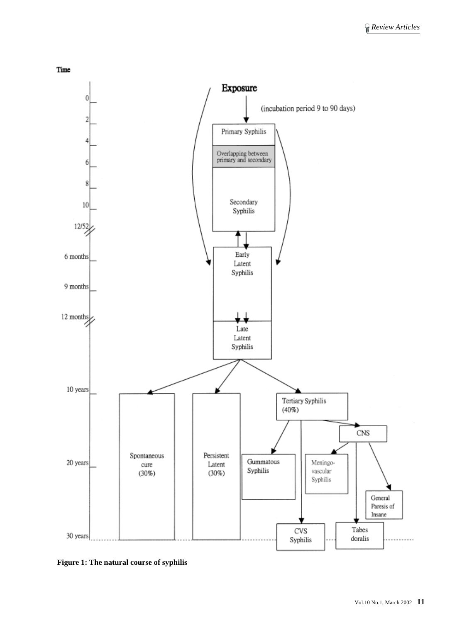

**Figure 1: The natural course of syphilis**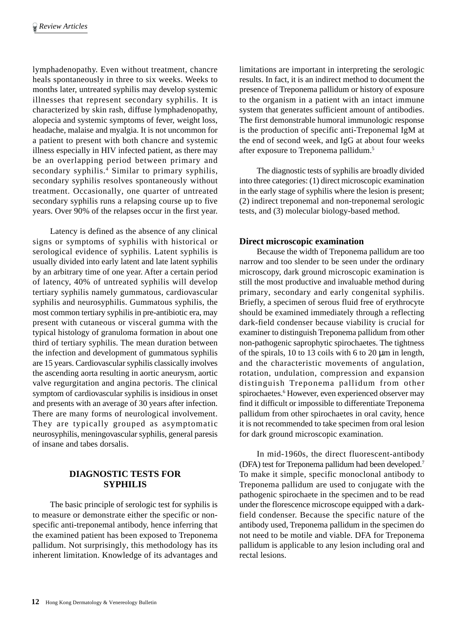lymphadenopathy. Even without treatment, chancre heals spontaneously in three to six weeks. Weeks to months later, untreated syphilis may develop systemic illnesses that represent secondary syphilis. It is characterized by skin rash, diffuse lymphadenopathy, alopecia and systemic symptoms of fever, weight loss, headache, malaise and myalgia. It is not uncommon for a patient to present with both chancre and systemic illness especially in HIV infected patient, as there may be an overlapping period between primary and secondary syphilis.<sup>4</sup> Similar to primary syphilis, secondary syphilis resolves spontaneously without treatment. Occasionally, one quarter of untreated secondary syphilis runs a relapsing course up to five years. Over 90% of the relapses occur in the first year.

Latency is defined as the absence of any clinical signs or symptoms of syphilis with historical or serological evidence of syphilis. Latent syphilis is usually divided into early latent and late latent syphilis by an arbitrary time of one year. After a certain period of latency, 40% of untreated syphilis will develop tertiary syphilis namely gummatous, cardiovascular syphilis and neurosyphilis. Gummatous syphilis, the most common tertiary syphilis in pre-antibiotic era, may present with cutaneous or visceral gumma with the typical histology of granuloma formation in about one third of tertiary syphilis. The mean duration between the infection and development of gummatous syphilis are 15 years. Cardiovascular syphilis classically involves the ascending aorta resulting in aortic aneurysm, aortic valve regurgitation and angina pectoris. The clinical symptom of cardiovascular syphilis is insidious in onset and presents with an average of 30 years after infection. There are many forms of neurological involvement. They are typically grouped as asymptomatic neurosyphilis, meningovascular syphilis, general paresis of insane and tabes dorsalis.

# **DIAGNOSTIC TESTS FOR SYPHILIS**

The basic principle of serologic test for syphilis is to measure or demonstrate either the specific or nonspecific anti-treponemal antibody, hence inferring that the examined patient has been exposed to Treponema pallidum. Not surprisingly, this methodology has its inherent limitation. Knowledge of its advantages and limitations are important in interpreting the serologic results. In fact, it is an indirect method to document the presence of Treponema pallidum or history of exposure to the organism in a patient with an intact immune system that generates sufficient amount of antibodies. The first demonstrable humoral immunologic response is the production of specific anti-Treponemal IgM at the end of second week, and IgG at about four weeks after exposure to Treponema pallidum.5

The diagnostic tests of syphilis are broadly divided into three categories: (1) direct microscopic examination in the early stage of syphilis where the lesion is present; (2) indirect treponemal and non-treponemal serologic tests, and (3) molecular biology-based method.

# **Direct microscopic examination**

Because the width of Treponema pallidum are too narrow and too slender to be seen under the ordinary microscopy, dark ground microscopic examination is still the most productive and invaluable method during primary, secondary and early congenital syphilis. Briefly, a specimen of serous fluid free of erythrocyte should be examined immediately through a reflecting dark-field condenser because viability is crucial for examiner to distinguish Treponema pallidum from other non-pathogenic saprophytic spirochaetes. The tightness of the spirals, 10 to 13 coils with 6 to 20  $\mu$ m in length, and the characteristic movements of angulation, rotation, undulation, compression and expansion distinguish Treponema pallidum from other spirochaetes.<sup>6</sup> However, even experienced observer may find it difficult or impossible to differentiate Treponema pallidum from other spirochaetes in oral cavity, hence it is not recommended to take specimen from oral lesion for dark ground microscopic examination.

In mid-1960s, the direct fluorescent-antibody (DFA) test for Treponema pallidum had been developed.7 To make it simple, specific monoclonal antibody to Treponema pallidum are used to conjugate with the pathogenic spirochaete in the specimen and to be read under the florescence microscope equipped with a darkfield condenser. Because the specific nature of the antibody used, Treponema pallidum in the specimen do not need to be motile and viable. DFA for Treponema pallidum is applicable to any lesion including oral and rectal lesions.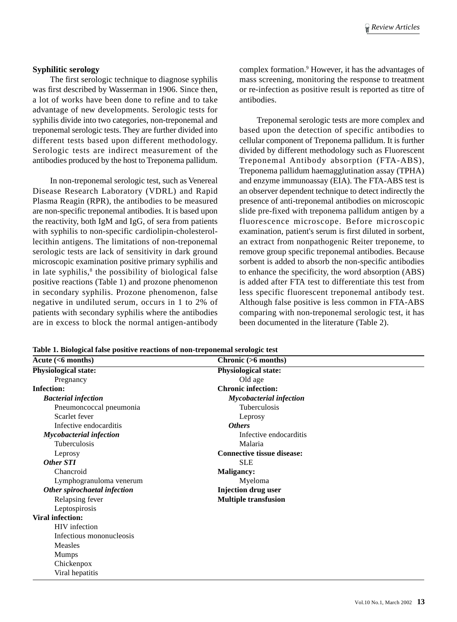#### **Syphilitic serology**

The first serologic technique to diagnose syphilis was first described by Wasserman in 1906. Since then, a lot of works have been done to refine and to take advantage of new developments. Serologic tests for syphilis divide into two categories, non-treponemal and treponemal serologic tests. They are further divided into different tests based upon different methodology. Serologic tests are indirect measurement of the antibodies produced by the host to Treponema pallidum.

In non-treponemal serologic test, such as Venereal Disease Research Laboratory (VDRL) and Rapid Plasma Reagin (RPR), the antibodies to be measured are non-specific treponemal antibodies. It is based upon the reactivity, both IgM and IgG, of sera from patients with syphilis to non-specific cardiolipin-cholesterollecithin antigens. The limitations of non-treponemal serologic tests are lack of sensitivity in dark ground microscopic examination positive primary syphilis and in late syphilis,<sup>8</sup> the possibility of biological false positive reactions (Table 1) and prozone phenomenon in secondary syphilis. Prozone phenomenon, false negative in undiluted serum, occurs in 1 to 2% of patients with secondary syphilis where the antibodies are in excess to block the normal antigen-antibody

complex formation.9 However, it has the advantages of mass screening, monitoring the response to treatment or re-infection as positive result is reported as titre of antibodies.

Treponemal serologic tests are more complex and based upon the detection of specific antibodies to cellular component of Treponema pallidum. It is further divided by different methodology such as Fluorescent Treponemal Antibody absorption (FTA-ABS), Treponema pallidum haemagglutination assay (TPHA) and enzyme immunoassay (EIA). The FTA-ABS test is an observer dependent technique to detect indirectly the presence of anti-treponemal antibodies on microscopic slide pre-fixed with treponema pallidum antigen by a fluorescence microscope. Before microscopic examination, patient's serum is first diluted in sorbent, an extract from nonpathogenic Reiter treponeme, to remove group specific treponemal antibodies. Because sorbent is added to absorb the non-specific antibodies to enhance the specificity, the word absorption (ABS) is added after FTA test to differentiate this test from less specific fluorescent treponemal antibody test. Although false positive is less common in FTA-ABS comparing with non-treponemal serologic test, it has been documented in the literature (Table 2).

| $\overline{\text{Acute }(\leq 6 \text{ months})}$ | Chronic (>6 months)               |  |
|---------------------------------------------------|-----------------------------------|--|
| Physiological state:                              | <b>Physiological state:</b>       |  |
| Pregnancy                                         | Old age                           |  |
| <b>Infection:</b>                                 | <b>Chronic infection:</b>         |  |
| <b>Bacterial infection</b>                        | <b>Mycobacterial infection</b>    |  |
| Pneumoncoccal pneumonia                           | Tuberculosis                      |  |
| Scarlet fever                                     | Leprosy                           |  |
| Infective endocarditis                            | <b>Others</b>                     |  |
| <b>Mycobacterial infection</b>                    | Infective endocarditis            |  |
| Tuberculosis                                      | Malaria                           |  |
| Leprosy                                           | <b>Connective tissue disease:</b> |  |
| Other STI                                         | <b>SLE</b>                        |  |
| Chancroid                                         | <b>Maligancy:</b>                 |  |
| Lymphogranuloma venerum                           | Myeloma                           |  |
| Other spirochaetal infection                      | <b>Injection drug user</b>        |  |
| Relapsing fever                                   | <b>Multiple transfusion</b>       |  |
| Leptospirosis                                     |                                   |  |
| <b>Viral infection:</b>                           |                                   |  |
| HIV infection                                     |                                   |  |
| Infectious mononucleosis                          |                                   |  |
| Measles                                           |                                   |  |
| <b>Mumps</b>                                      |                                   |  |
| Chickenpox                                        |                                   |  |
| Viral hepatitis                                   |                                   |  |

**Table 1. Biological false positive reactions of non-treponemal serologic test**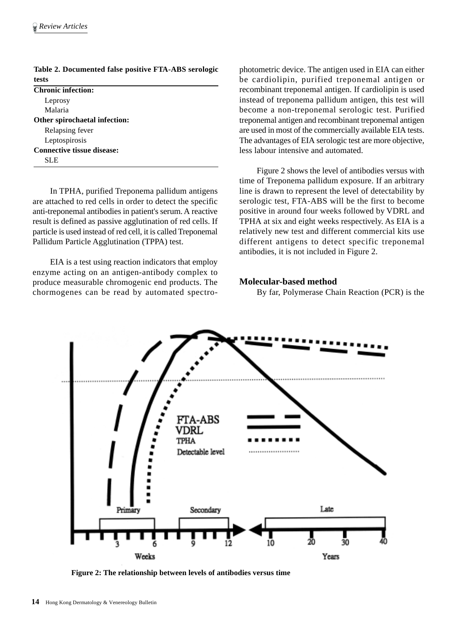| tests                             |  |
|-----------------------------------|--|
| <b>Chronic infection:</b>         |  |
| Leprosy                           |  |
| Malaria                           |  |
| Other spirochaetal infection:     |  |
| Relapsing fever                   |  |
| Leptospirosis                     |  |
| <b>Connective tissue disease:</b> |  |
| SLE.                              |  |
|                                   |  |

**Table 2. Documented false positive FTA-ABS serologic tests**

In TPHA, purified Treponema pallidum antigens are attached to red cells in order to detect the specific anti-treponemal antibodies in patient's serum. A reactive result is defined as passive agglutination of red cells. If particle is used instead of red cell, it is called Treponemal Pallidum Particle Agglutination (TPPA) test.

EIA is a test using reaction indicators that employ enzyme acting on an antigen-antibody complex to produce measurable chromogenic end products. The chormogenes can be read by automated spectrophotometric device. The antigen used in EIA can either be cardiolipin, purified treponemal antigen or recombinant treponemal antigen. If cardiolipin is used instead of treponema pallidum antigen, this test will become a non-treponemal serologic test. Purified treponemal antigen and recombinant treponemal antigen are used in most of the commercially available EIA tests. The advantages of EIA serologic test are more objective, less labour intensive and automated.

Figure 2 shows the level of antibodies versus with time of Treponema pallidum exposure. If an arbitrary line is drawn to represent the level of detectability by serologic test, FTA-ABS will be the first to become positive in around four weeks followed by VDRL and TPHA at six and eight weeks respectively. As EIA is a relatively new test and different commercial kits use different antigens to detect specific treponemal antibodies, it is not included in Figure 2.

## **Molecular-based method**

By far, Polymerase Chain Reaction (PCR) is the



**Figure 2: The relationship between levels of antibodies versus time**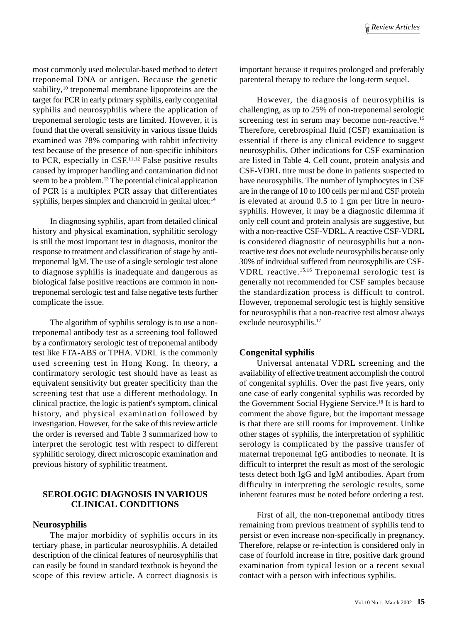most commonly used molecular-based method to detect treponemal DNA or antigen. Because the genetic stability,<sup>10</sup> treponemal membrane lipoproteins are the target for PCR in early primary syphilis, early congenital syphilis and neurosyphilis where the application of treponemal serologic tests are limited. However, it is found that the overall sensitivity in various tissue fluids examined was 78% comparing with rabbit infectivity test because of the presence of non-specific inhibitors to PCR, especially in  $CSF<sub>11,12</sub>$  False positive results caused by improper handling and contamination did not seem to be a problem.<sup>13</sup> The potential clinical application of PCR is a multiplex PCR assay that differentiates syphilis, herpes simplex and chancroid in genital ulcer.<sup>14</sup>

In diagnosing syphilis, apart from detailed clinical history and physical examination, syphilitic serology is still the most important test in diagnosis, monitor the response to treatment and classification of stage by antitreponemal IgM. The use of a single serologic test alone to diagnose syphilis is inadequate and dangerous as biological false positive reactions are common in nontreponemal serologic test and false negative tests further complicate the issue.

The algorithm of syphilis serology is to use a nontreponemal antibody test as a screening tool followed by a confirmatory serologic test of treponemal antibody test like FTA-ABS or TPHA. VDRL is the commonly used screening test in Hong Kong. In theory, a confirmatory serologic test should have as least as equivalent sensitivity but greater specificity than the screening test that use a different methodology. In clinical practice, the logic is patient's symptom, clinical history, and physical examination followed by investigation. However, for the sake of this review article the order is reversed and Table 3 summarized how to interpret the serologic test with respect to different syphilitic serology, direct microscopic examination and previous history of syphilitic treatment.

# **SEROLOGIC DIAGNOSIS IN VARIOUS CLINICAL CONDITIONS**

## **Neurosyphilis**

The major morbidity of syphilis occurs in its tertiary phase, in particular neurosyphilis. A detailed description of the clinical features of neurosyphilis that can easily be found in standard textbook is beyond the scope of this review article. A correct diagnosis is

important because it requires prolonged and preferably parenteral therapy to reduce the long-term sequel.

However, the diagnosis of neurosyphilis is challenging, as up to 25% of non-treponemal serologic screening test in serum may become non-reactive.<sup>15</sup> Therefore, cerebrospinal fluid (CSF) examination is essential if there is any clinical evidence to suggest neurosyphilis. Other indications for CSF examination are listed in Table 4. Cell count, protein analysis and CSF-VDRL titre must be done in patients suspected to have neurosyphilis. The number of lymphocytes in CSF are in the range of 10 to 100 cells per ml and CSF protein is elevated at around 0.5 to 1 gm per litre in neurosyphilis. However, it may be a diagnostic dilemma if only cell count and protein analysis are suggestive, but with a non-reactive CSF-VDRL. A reactive CSF-VDRL is considered diagnostic of neurosyphilis but a nonreactive test does not exclude neurosyphilis because only 30% of individual suffered from neurosyphilis are CSF-VDRL reactive.15,16 Treponemal serologic test is generally not recommended for CSF samples because the standardization process is difficult to control. However, treponemal serologic test is highly sensitive for neurosyphilis that a non-reactive test almost always exclude neurosyphilis.<sup>17</sup>

## **Congenital syphilis**

Universal antenatal VDRL screening and the availability of effective treatment accomplish the control of congenital syphilis. Over the past five years, only one case of early congenital syphilis was recorded by the Government Social Hygiene Service.18 It is hard to comment the above figure, but the important message is that there are still rooms for improvement. Unlike other stages of syphilis, the interpretation of syphilitic serology is complicated by the passive transfer of maternal treponemal IgG antibodies to neonate. It is difficult to interpret the result as most of the serologic tests detect both IgG and IgM antibodies. Apart from difficulty in interpreting the serologic results, some inherent features must be noted before ordering a test.

First of all, the non-treponemal antibody titres remaining from previous treatment of syphilis tend to persist or even increase non-specifically in pregnancy. Therefore, relapse or re-infection is considered only in case of fourfold increase in titre, positive dark ground examination from typical lesion or a recent sexual contact with a person with infectious syphilis.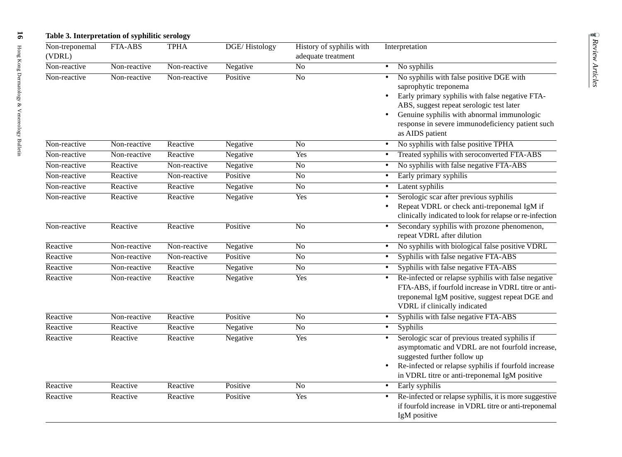| Non-treponemal           | FTA-ABS      | <b>TPHA</b>  | <b>DGE/Histology</b> | History of syphilis with | Interpretation                                                                                           |
|--------------------------|--------------|--------------|----------------------|--------------------------|----------------------------------------------------------------------------------------------------------|
| (VDRL)                   |              |              |                      | adequate treatment       |                                                                                                          |
| Non-reactive             | Non-reactive | Non-reactive | Negative             | $\overline{No}$          | No syphilis                                                                                              |
| Non-reactive             | Non-reactive | Non-reactive | Positive             | $\overline{No}$          | No syphilis with false positive DGE with                                                                 |
|                          |              |              |                      |                          | saprophytic treponema                                                                                    |
|                          |              |              |                      |                          | Early primary syphilis with false negative FTA-<br>$\bullet$<br>ABS, suggest repeat serologic test later |
|                          |              |              |                      |                          | Genuine syphilis with abnormal immunologic                                                               |
|                          |              |              |                      |                          | response in severe immunodeficiency patient such                                                         |
|                          |              |              |                      |                          | as AIDS patient                                                                                          |
| Non-reactive             | Non-reactive | Reactive     | Negative             | N <sub>o</sub>           | No syphilis with false positive TPHA                                                                     |
| Non-reactive             | Non-reactive | Reactive     | Negative             | Yes                      | Treated syphilis with seroconverted FTA-ABS                                                              |
| Non-reactive             | Reactive     | Non-reactive | Negative             | $\overline{No}$          | No syphilis with false negative FTA-ABS                                                                  |
| Non-reactive             | Reactive     | Non-reactive | Positive             | $\overline{No}$          | Early primary syphilis<br>$\bullet$                                                                      |
| Non-reactive             | Reactive     | Reactive     | Negative             | $\overline{No}$          | Latent syphilis<br>$\bullet$                                                                             |
| Non-reactive<br>Reactive |              | Reactive     | Negative             | Yes                      | Serologic scar after previous syphilis<br>$\bullet$                                                      |
|                          |              |              |                      |                          | Repeat VDRL or check anti-treponemal IgM if<br>$\bullet$                                                 |
|                          |              |              |                      |                          | clinically indicated to look for relapse or re-infection                                                 |
| Non-reactive             | Reactive     | Reactive     | Positive             | $\overline{No}$          | Secondary syphilis with prozone phenomenon,<br>$\bullet$                                                 |
|                          |              |              |                      |                          | repeat VDRL after dilution                                                                               |
| Reactive                 | Non-reactive | Non-reactive | Negative             | $\overline{No}$          | No syphilis with biological false positive VDRL<br>$\bullet$                                             |
| Reactive                 | Non-reactive | Non-reactive | Positive             | $\overline{No}$          | Syphilis with false negative FTA-ABS<br>$\bullet$                                                        |
| Reactive                 | Non-reactive | Reactive     | Negative             | $\overline{No}$          | Syphilis with false negative FTA-ABS<br>$\bullet$                                                        |
| Reactive                 | Non-reactive | Reactive     | Negative             | Yes                      | Re-infected or relapse syphilis with false negative<br>$\bullet$                                         |
|                          |              |              |                      |                          | FTA-ABS, if fourfold increase in VDRL titre or anti-                                                     |
|                          |              |              |                      |                          | treponemal IgM positive, suggest repeat DGE and<br>VDRL if clinically indicated                          |
| Reactive                 | Non-reactive | Reactive     | Positive             | $\overline{No}$          | Syphilis with false negative FTA-ABS<br>$\bullet$                                                        |
| Reactive                 | Reactive     | Reactive     | Negative             | $\overline{No}$          | <b>Syphilis</b><br>$\bullet$                                                                             |
| Reactive                 | Reactive     | Reactive     | Negative             | Yes                      | Serologic scar of previous treated syphilis if                                                           |
|                          |              |              |                      |                          | asymptomatic and VDRL are not fourfold increase,                                                         |
|                          |              |              |                      |                          | suggested further follow up                                                                              |
|                          |              |              |                      |                          | Re-infected or relapse syphilis if fourfold increase<br>$\bullet$                                        |
|                          |              |              |                      |                          | in VDRL titre or anti-treponemal IgM positive                                                            |
| Reactive                 | Reactive     | Reactive     | Positive             | No                       | Early syphilis<br>$\bullet$                                                                              |
| Reactive                 | Reactive     | Reactive     | Positive             | Yes                      | Re-infected or relapse syphilis, it is more suggestive<br>$\bullet$                                      |
|                          |              |              |                      |                          | if fourfold increase in VDRL titre or anti-treponemal<br>IgM positive                                    |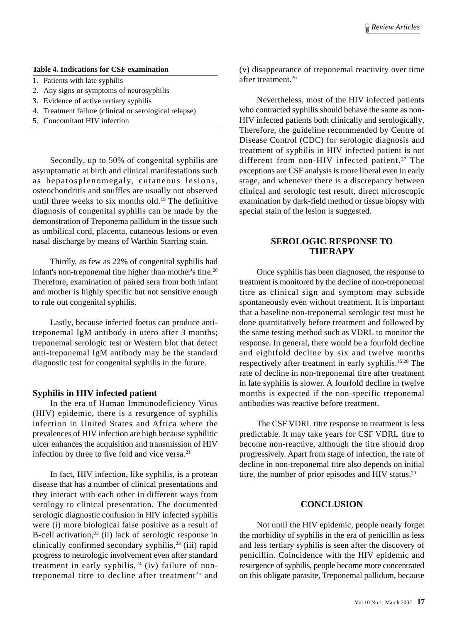#### **Table 4. Indications for CSF examination**

- 1. Patients with late syphilis
- 2. Any signs or symptoms of neurosyphilis
- 3. Evidence of active tertiary syphilis
- 4. Treatment failure (clinical or serological relapse)
- 5. Concomitant HIV infection

Secondly, up to 50% of congenital syphilis are asymptomatic at birth and clinical manifestations such as hepatosplenomegaly, cutaneous lesions, osteochondritis and snuffles are usually not observed until three weeks to six months old.19 The definitive diagnosis of congenital syphilis can be made by the demonstration of Treponema pallidum in the tissue such as umbilical cord, placenta, cutaneous lesions or even nasal discharge by means of Warthin Starring stain.

Thirdly, as few as 22% of congenital syphilis had infant's non-treponemal titre higher than mother's titre.<sup>20</sup> Therefore, examination of paired sera from both infant and mother is highly specific but not sensitive enough to rule out congenital syphilis.

Lastly, because infected foetus can produce antitreponemal IgM antibody in utero after 3 months; treponemal serologic test or Western blot that detect anti-treponemal IgM antibody may be the standard diagnostic test for congenital syphilis in the future.

## **Syphilis in HIV infected patient**

In the era of Human Immunodeficiency Virus (HIV) epidemic, there is a resurgence of syphilis infection in United States and Africa where the prevalences of HIV infection are high because syphilitic ulcer enhances the acquisition and transmission of HIV infection by three to five fold and vice versa.<sup>21</sup>

In fact, HIV infection, like syphilis, is a protean disease that has a number of clinical presentations and they interact with each other in different ways from serology to clinical presentation. The documented serologic diagnostic confusion in HIV infected syphilis were (i) more biological false positive as a result of B-cell activation,<sup>22</sup> (ii) lack of serologic response in clinically confirmed secondary syphilis, $23$  (iii) rapid progress to neurologic involvement even after standard treatment in early syphilis,<sup>24</sup> (iv) failure of nontreponemal titre to decline after treatment<sup>25</sup> and

(v) disappearance of treponemal reactivity over time after treatment<sup>26</sup>

Nevertheless, most of the HIV infected patients who contracted syphilis should behave the same as non-HIV infected patients both clinically and serologically. Therefore, the guideline recommended by Centre of Disease Control (CDC) for serologic diagnosis and treatment of syphilis in HIV infected patient is not different from non-HIV infected patient.<sup>27</sup> The exceptions are CSF analysis is more liberal even in early stage, and whenever there is a discrepancy between clinical and serologic test result, direct microscopic examination by dark-field method or tissue biopsy with special stain of the lesion is suggested.

# **SEROLOGIC RESPONSE TO THERAPY**

Once syphilis has been diagnosed, the response to treatment is monitored by the decline of non-treponemal titre as clinical sign and symptom may subside spontaneously even without treatment. It is important that a baseline non-treponemal serologic test must be done quantitatively before treatment and followed by the same testing method such as VDRL to monitor the response. In general, there would be a fourfold decline and eightfold decline by six and twelve months respectively after treatment in early syphilis.15,28 The rate of decline in non-treponemal titre after treatment in late syphilis is slower. A fourfold decline in twelve months is expected if the non-specific treponemal antibodies was reactive before treatment.

The CSF VDRL titre response to treatment is less predictable. It may take years for CSF VDRL titre to become non-reactive, although the titre should drop progressively. Apart from stage of infection, the rate of decline in non-treponemal titre also depends on initial titre, the number of prior episodes and HIV status.<sup>29</sup>

## **CONCLUSION**

Not until the HIV epidemic, people nearly forget the morbidity of syphilis in the era of penicillin as less and less tertiary syphilis is seen after the discovery of penicillin. Coincidence with the HIV epidemic and resurgence of syphilis, people become more concentrated on this obligate parasite, Treponemal pallidum, because